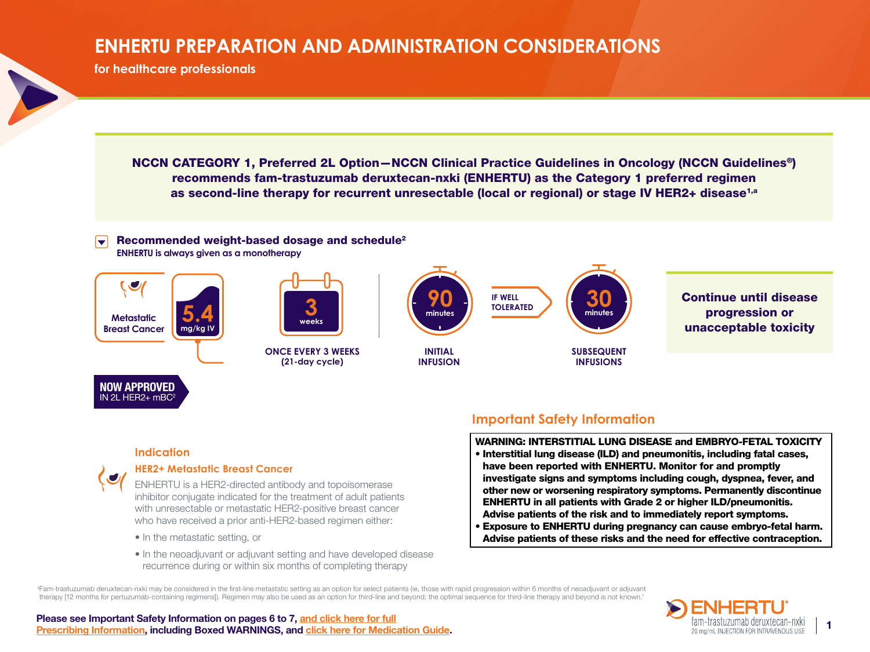# **ENHERTU PREPARATION AND ADMINISTRATION CONSIDERATIONS**

**for healthcare professionals**

NCCN CATEGORY 1, Preferred 2L Option—NCCN Clinical Practice Guidelines in Oncology (NCCN Guidelines®) recommends fam-trastuzumab deruxtecan-nxki (ENHERTU) as the Category 1 preferred regimen as second-line therapy for recurrent unresectable (local or regional) or stage IV HER2+ disease<sup>1,a</sup>

 $\blacktriangledown$ Recommended weight-based dosage and schedule2 **ENHERTU is always given as a monotherapy**



## **Indication**

 $IN 2L$  HER $2+$  mBC

## **HER2+ Metastatic Breast Cancer**

ENHERTU is a HER2-directed antibody and topoisomerase inhibitor conjugate indicated for the treatment of adult patients with unresectable or metastatic HER2-positive breast cancer who have received a prior anti-HER2-based regimen either:

- In the metastatic setting, or
- In the neoadjuvant or adjuvant setting and have developed disease recurrence during or within six months of completing therapy

## **Important Safety Information**

WARNING: INTERSTITIAL LUNG DISEASE and EMBRYO-FETAL TOXICITY

- Interstitial lung disease (ILD) and pneumonitis, including fatal cases, have been reported with ENHERTU. Monitor for and promptly investigate signs and symptoms including cough, dyspnea, fever, and other new or worsening respiratory symptoms. Permanently discontinue ENHERTU in all patients with Grade 2 or higher ILD/pneumonitis. Advise patients of the risk and to immediately report symptoms.
- Exposure to ENHERTU during pregnancy can cause embryo-fetal harm. Advise patients of these risks and the need for effective contraception.

<sup>a</sup>Fam-trastuzumab deruxtecan-nxki may be considered in the first-line metastatic setting as an option for select patients (ie, those with rapid progression within 6 months of neoadjuvant or adjuvant therapy [12 months for pertuzumab-containing regimens]). Regimen may also be used as an option for third-line and beyond; the optimal sequence for third-line therapy and beyond is not known.<sup>1</sup>



#### Please see Important Safety Information on pages 6 to 7, [and click here for full](https://dsi.com/prescribing-information-portlet/getPIContent?productName=Enhertu&inline=true)  **[Prescribing Information,](https://dsi.com/prescribing-information-portlet/getPIContent?productName=Enhertu&inline=true) including Boxed WARNINGS, and [click here for Medication Guide](https://dsi.com/prescribing-information-portlet/getPIContent?productName=Enhertu_Med&inline=true).** 1 **Prescribing Information, including Boxed WARNINGS, and click here for Medication Guide.** 1 **1 Prescribing Information, includin**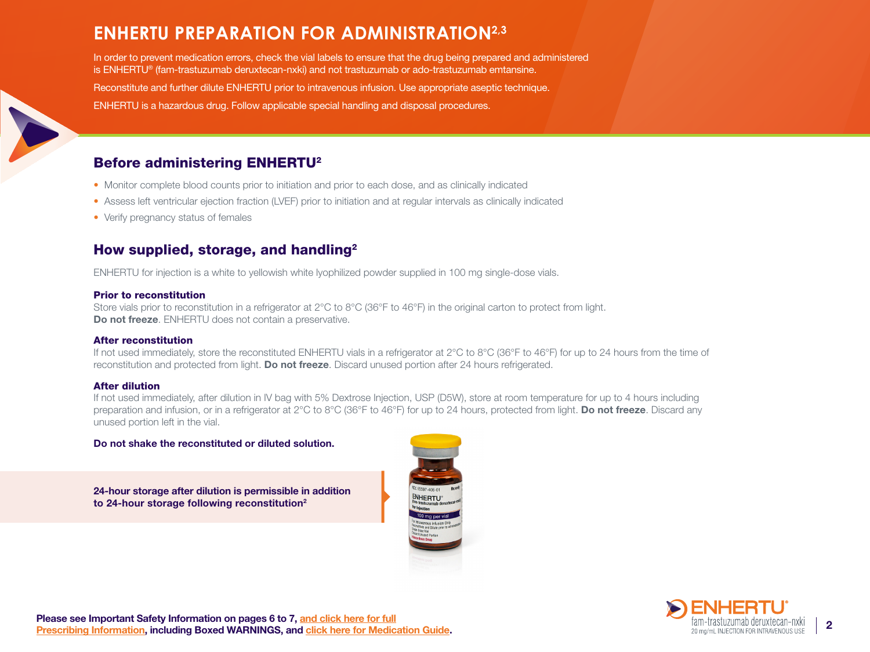# **ENHERTU PREPARATION FOR ADMINISTRATION2,3**

In order to prevent medication errors, check the vial labels to ensure that the drug being prepared and administered is ENHERTU® (fam-trastuzumab deruxtecan-nxki) and not trastuzumab or ado-trastuzumab emtansine.

Reconstitute and further dilute ENHERTU prior to intravenous infusion. Use appropriate aseptic technique.

ENHERTU is a hazardous drug. Follow applicable special handling and disposal procedures.

## Before administering ENHERTU2

- Monitor complete blood counts prior to initiation and prior to each dose, and as clinically indicated
- Assess left ventricular ejection fraction (LVEF) prior to initiation and at regular intervals as clinically indicated
- Verify pregnancy status of females

## How supplied, storage, and handling<sup>2</sup>

ENHERTU for injection is a white to yellowish white lyophilized powder supplied in 100 mg single-dose vials.

#### Prior to reconstitution

Store vials prior to reconstitution in a refrigerator at 2°C to 8°C (36°F to 46°F) in the original carton to protect from light. Do not freeze. ENHERTU does not contain a preservative.

## After reconstitution

If not used immediately, store the reconstituted ENHERTU vials in a refrigerator at 2°C to 8°C (36°F to 46°F) for up to 24 hours from the time of reconstitution and protected from light. Do not freeze. Discard unused portion after 24 hours refrigerated.

## After dilution

If not used immediately, after dilution in IV bag with 5% Dextrose Injection, USP (D5W), store at room temperature for up to 4 hours including preparation and infusion, or in a refrigerator at 2°C to 8°C (36°F to 46°F) for up to 24 hours, protected from light. Do not freeze. Discard any unused portion left in the vial.

## Do not shake the reconstituted or diluted solution.

24-hour storage after dilution is permissible in addition to 24-hour storage following reconstitution2



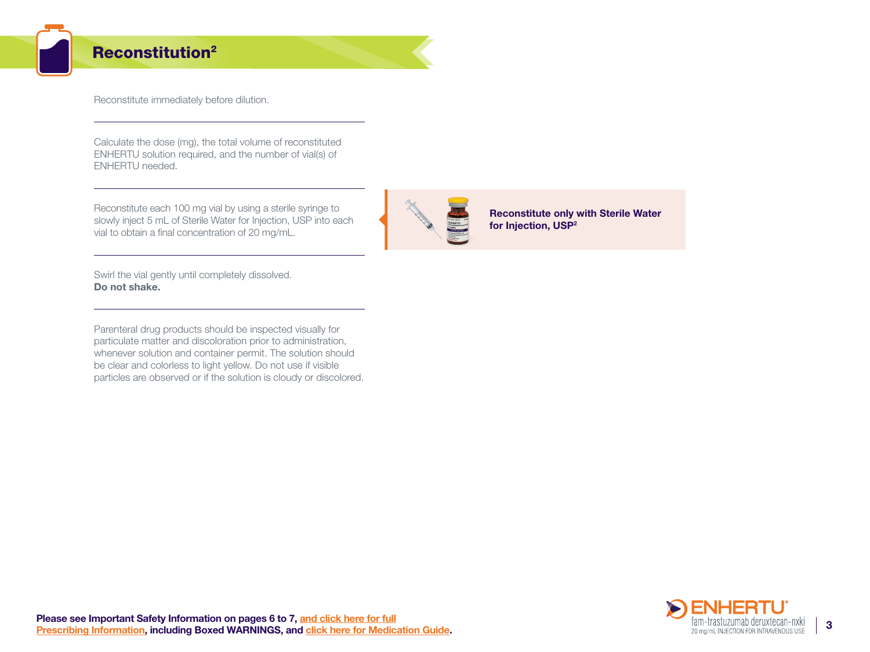## Reconstitution2

Reconstitute immediately before dilution.

Calculate the dose (mg), the total volume of reconstituted ENHERTU solution required, and the number of vial(s) of ENHERTU needed.

Reconstitute each 100 mg vial by using a sterile syringe to slowly inject 5 mL of Sterile Water for Injection, USP into each vial to obtain a final concentration of 20 mg/mL.



Reconstitute only with Sterile Water for Injection, USP<sup>2</sup>

Swirl the vial gently until completely dissolved. Do not shake.

Parenteral drug products should be inspected visually for particulate matter and discoloration prior to administration, whenever solution and container permit. The solution should be clear and colorless to light yellow. Do not use if visible particles are observed or if the solution is cloudy or discolored.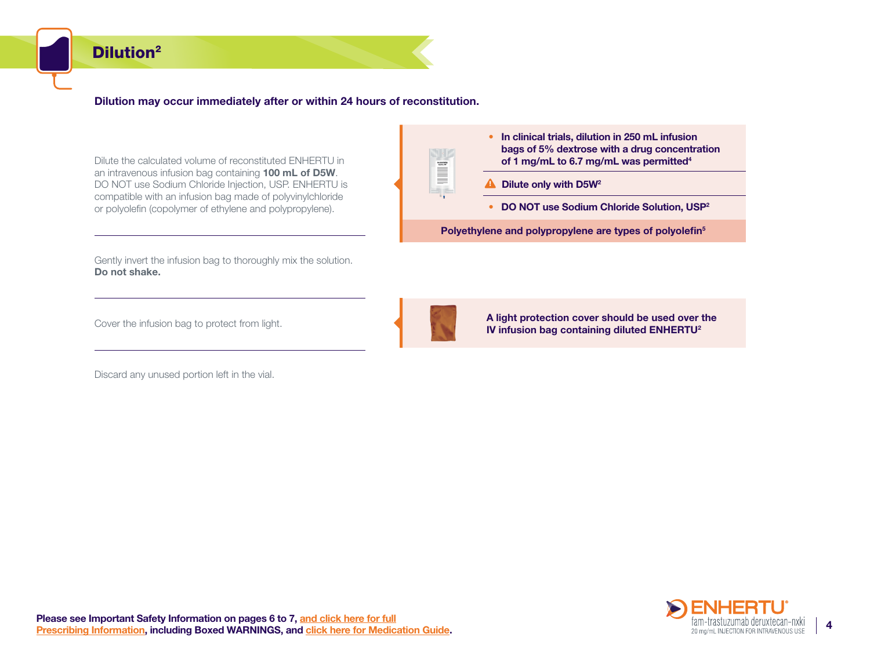## Dilution2

## Dilution may occur immediately after or within 24 hours of reconstitution.

Dilute the calculated volume of reconstituted ENHERTU in an intravenous infusion bag containing 100 mL of D5W. DO NOT use Sodium Chloride Injection, USP. ENHERTU is compatible with an infusion bag made of polyvinylchloride or polyolefin (copolymer of ethylene and polypropylene).

Gently invert the infusion bag to thoroughly mix the solution. Do not shake.

Cover the infusion bag to protect from light.

Discard any unused portion left in the vial.



- **E** Dilute only with D5W<sup>2</sup>
	- DO NOT use Sodium Chloride Solution, USP<sup>2</sup>

Polyethylene and polypropylene are types of polyolefin<sup>5</sup>



**NIC** a e

> A light protection cover should be used over the IV infusion bag containing diluted ENHERTU2

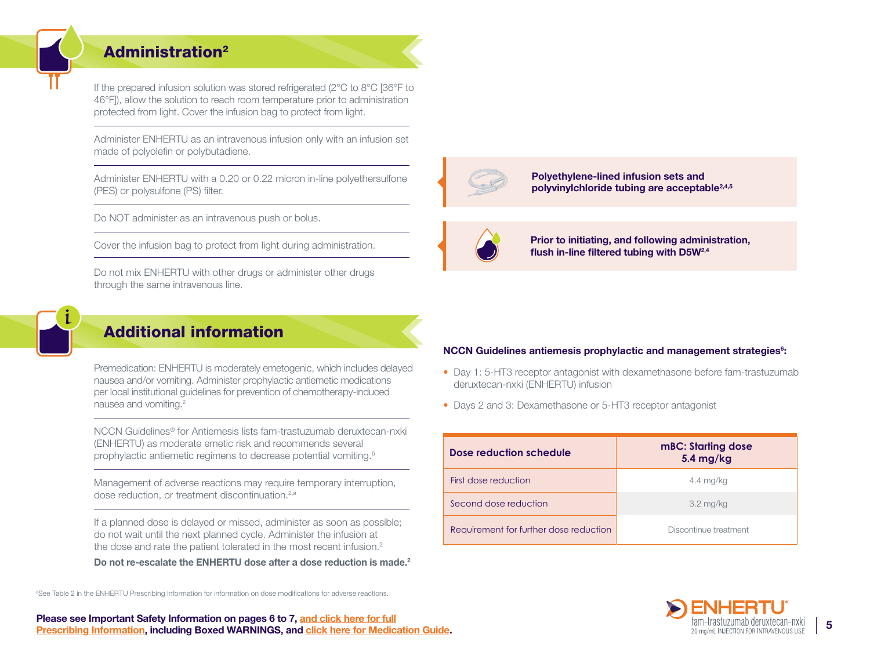## Administration2

If the prepared infusion solution was stored refrigerated (2°C to 8°C [36°F to 46°F]), allow the solution to reach room temperature prior to administration protected from light. Cover the infusion bag to protect from light.

Administer ENHERTU as an intravenous infusion only with an infusion set made of polyolefin or polybutadiene.

Administer ENHERTU with a 0.20 or 0.22 micron in-line polyethersulfone (PES) or polysulfone (PS) filter.

Do NOT administer as an intravenous push or bolus.

Cover the infusion bag to protect from light during administration.

Do not mix ENHERTU with other drugs or administer other drugs through the same intravenous line.



## Additional information

Premedication: ENHERTU is moderately emetogenic, which includes delayed nausea and/or vomiting. Administer prophylactic antiemetic medications per local institutional guidelines for prevention of chemotherapy-induced nausea and vomiting.2

NCCN Guidelines® for Antiemesis lists fam-trastuzumab deruxtecan-nxki (ENHERTU) as moderate emetic risk and recommends several prophylactic antiemetic regimens to decrease potential vomiting.6

Management of adverse reactions may require temporary interruption, dose reduction, or treatment discontinuation.<sup>2,a</sup>

If a planned dose is delayed or missed, administer as soon as possible; do not wait until the next planned cycle. Administer the infusion at the dose and rate the patient tolerated in the most recent infusion.<sup>2</sup>

Do not re-escalate the ENHERTU dose after a dose reduction is made.<sup>2</sup>

a See Table 2 in the ENHERTU Prescribing Information for information on dose modifications for adverse reactions.



Polyethylene-lined infusion sets and polyvinylchloride tubing are acceptable2,4,5



i,

i,

Prior to initiating, and following administration, flush in-line filtered tubing with D5W2,4

#### NCCN Guidelines antiemesis prophylactic and management strategies<sup>6</sup>:

- Day 1: 5-HT3 receptor antagonist with dexamethasone before fam-trastuzumab deruxtecan-nxki (ENHERTU) infusion
- Days 2 and 3: Dexamethasone or 5-HT3 receptor antagonist

| Dose reduction schedule                | <b>mBC: Starting dose</b><br>5.4 mg/kg |
|----------------------------------------|----------------------------------------|
| First dose reduction                   | $4.4 \text{ mg/kg}$                    |
| Second dose reduction                  | $3.2 \text{ mg/kg}$                    |
| Requirement for further dose reduction | Discontinue treatment                  |

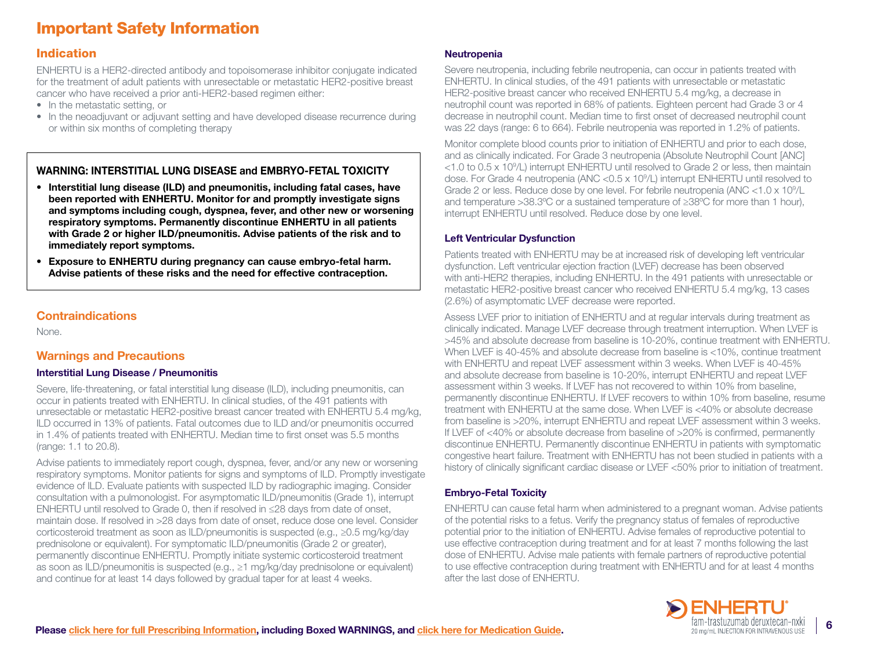# Important Safety Information

## Indication

ENHERTU is a HER2-directed antibody and topoisomerase inhibitor conjugate indicated for the treatment of adult patients with unresectable or metastatic HER2-positive breast cancer who have received a prior anti-HER2-based regimen either:

- In the metastatic setting, or
- In the neoadjuvant or adjuvant setting and have developed disease recurrence during or within six months of completing therapy

## WARNING: INTERSTITIAL LUNG DISEASE and EMBRYO-FETAL TOXICITY

- Interstitial lung disease (ILD) and pneumonitis, including fatal cases, have been reported with ENHERTU. Monitor for and promptly investigate signs and symptoms including cough, dyspnea, fever, and other new or worsening respiratory symptoms. Permanently discontinue ENHERTU in all patients with Grade 2 or higher ILD/pneumonitis. Advise patients of the risk and to immediately report symptoms.
- Exposure to ENHERTU during pregnancy can cause embryo-fetal harm. Advise patients of these risks and the need for effective contraception.

## **Contraindications**

None.

## Warnings and Precautions

## Interstitial Lung Disease / Pneumonitis

Severe, life-threatening, or fatal interstitial lung disease (ILD), including pneumonitis, can occur in patients treated with ENHERTU. In clinical studies, of the 491 patients with unresectable or metastatic HER2-positive breast cancer treated with ENHERTU 5.4 mg/kg, ILD occurred in 13% of patients. Fatal outcomes due to ILD and/or pneumonitis occurred in 1.4% of patients treated with ENHERTU. Median time to first onset was 5.5 months (range: 1.1 to 20.8).

Advise patients to immediately report cough, dyspnea, fever, and/or any new or worsening respiratory symptoms. Monitor patients for signs and symptoms of ILD. Promptly investigate evidence of ILD. Evaluate patients with suspected ILD by radiographic imaging. Consider consultation with a pulmonologist. For asymptomatic ILD/pneumonitis (Grade 1), interrupt ENHERTU until resolved to Grade 0, then if resolved in ≤28 days from date of onset, maintain dose. If resolved in >28 days from date of onset, reduce dose one level. Consider corticosteroid treatment as soon as ILD/pneumonitis is suspected (e.g., ≥0.5 mg/kg/day prednisolone or equivalent). For symptomatic ILD/pneumonitis (Grade 2 or greater), permanently discontinue ENHERTU. Promptly initiate systemic corticosteroid treatment as soon as ILD/pneumonitis is suspected (e.g., ≥1 mg/kg/day prednisolone or equivalent) and continue for at least 14 days followed by gradual taper for at least 4 weeks.

## **Neutropenia**

Severe neutropenia, including febrile neutropenia, can occur in patients treated with ENHERTU. In clinical studies, of the 491 patients with unresectable or metastatic HER2-positive breast cancer who received ENHERTU 5.4 mg/kg, a decrease in neutrophil count was reported in 68% of patients. Eighteen percent had Grade 3 or 4 decrease in neutrophil count. Median time to first onset of decreased neutrophil count was 22 days (range: 6 to 664). Febrile neutropenia was reported in 1.2% of patients.

Monitor complete blood counts prior to initiation of ENHERTU and prior to each dose, and as clinically indicated. For Grade 3 neutropenia (Absolute Neutrophil Count [ANC] <1.0 to 0.5 x 109 /L) interrupt ENHERTU until resolved to Grade 2 or less, then maintain dose. For Grade 4 neutropenia (ANC <0.5 x 109 /L) interrupt ENHERTU until resolved to Grade 2 or less. Reduce dose by one level. For febrile neutropenia (ANC < 1.0 x 10<sup>9</sup>/L and temperature >38.3ºC or a sustained temperature of ≥38ºC for more than 1 hour), interrupt ENHERTU until resolved. Reduce dose by one level.

## Left Ventricular Dysfunction

Patients treated with ENHERTU may be at increased risk of developing left ventricular dysfunction. Left ventricular ejection fraction (LVEF) decrease has been observed with anti-HER2 therapies, including ENHERTU. In the 491 patients with unresectable or metastatic HER2-positive breast cancer who received ENHERTU 5.4 mg/kg, 13 cases (2.6%) of asymptomatic LVEF decrease were reported.

Assess LVEF prior to initiation of ENHERTU and at regular intervals during treatment as clinically indicated. Manage LVEF decrease through treatment interruption. When LVEF is >45% and absolute decrease from baseline is 10-20%, continue treatment with ENHERTU. When LVEF is 40-45% and absolute decrease from baseline is <10%, continue treatment with ENHERTU and repeat LVEF assessment within 3 weeks. When LVEF is 40-45% and absolute decrease from baseline is 10-20%, interrupt ENHERTU and repeat LVEF assessment within 3 weeks. If LVEF has not recovered to within 10% from baseline, permanently discontinue ENHERTU. If LVEF recovers to within 10% from baseline, resume treatment with ENHERTU at the same dose. When LVEF is <40% or absolute decrease from baseline is >20%, interrupt ENHERTU and repeat LVEF assessment within 3 weeks. If LVEF of <40% or absolute decrease from baseline of >20% is confirmed, permanently discontinue ENHERTU. Permanently discontinue ENHERTU in patients with symptomatic congestive heart failure. Treatment with ENHERTU has not been studied in patients with a history of clinically significant cardiac disease or LVEF <50% prior to initiation of treatment.

## Embryo-Fetal Toxicity

ENHERTU can cause fetal harm when administered to a pregnant woman. Advise patients of the potential risks to a fetus. Verify the pregnancy status of females of reproductive potential prior to the initiation of ENHERTU. Advise females of reproductive potential to use effective contraception during treatment and for at least 7 months following the last dose of ENHERTU. Advise male patients with female partners of reproductive potential to use effective contraception during treatment with ENHERTU and for at least 4 months after the last dose of ENHERTU.

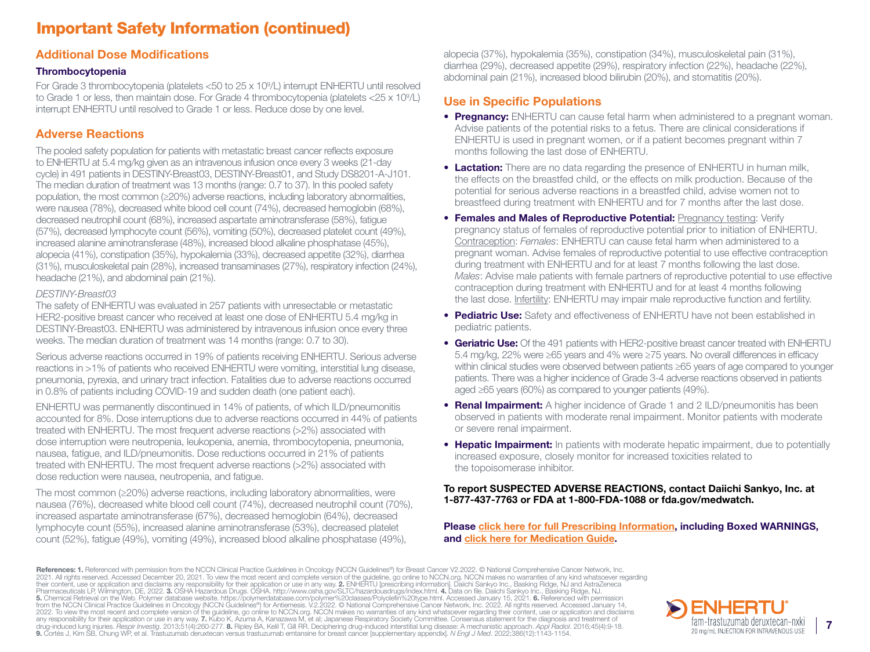# Important Safety Information (continued)

## Additional Dose Modifications

#### Thrombocytopenia

For Grade 3 thrombocytopenia (platelets <50 to 25 x 109 /L) interrupt ENHERTU until resolved to Grade 1 or less, then maintain dose. For Grade 4 thrombocytopenia (platelets <25 x 10<sup>9</sup>/L) interrupt ENHERTU until resolved to Grade 1 or less. Reduce dose by one level.

## Adverse Reactions

The pooled safety population for patients with metastatic breast cancer reflects exposure to ENHERTU at 5.4 mg/kg given as an intravenous infusion once every 3 weeks (21-day cycle) in 491 patients in DESTINY-Breast03, DESTINY-Breast01, and Study DS8201-A-J101. The median duration of treatment was 13 months (range: 0.7 to 37). In this pooled safety population, the most common (≥20%) adverse reactions, including laboratory abnormalities, were nausea (78%), decreased white blood cell count (74%), decreased hemoglobin (68%), decreased neutrophil count (68%), increased aspartate aminotransferase (58%), fatigue (57%), decreased lymphocyte count (56%), vomiting (50%), decreased platelet count (49%), increased alanine aminotransferase (48%), increased blood alkaline phosphatase (45%), alopecia (41%), constipation (35%), hypokalemia (33%), decreased appetite (32%), diarrhea (31%), musculoskeletal pain (28%), increased transaminases (27%), respiratory infection (24%), headache (21%), and abdominal pain (21%).

#### *DESTINY-Breast03*

The safety of ENHERTU was evaluated in 257 patients with unresectable or metastatic HER2-positive breast cancer who received at least one dose of ENHERTU 5.4 mg/kg in DESTINY-Breast03. ENHERTU was administered by intravenous infusion once every three weeks. The median duration of treatment was 14 months (range: 0.7 to 30).

Serious adverse reactions occurred in 19% of patients receiving ENHERTU. Serious adverse reactions in >1% of patients who received ENHERTU were vomiting, interstitial lung disease, pneumonia, pyrexia, and urinary tract infection. Fatalities due to adverse reactions occurred in 0.8% of patients including COVID-19 and sudden death (one patient each).

ENHERTU was permanently discontinued in 14% of patients, of which ILD/pneumonitis accounted for 8%. Dose interruptions due to adverse reactions occurred in 44% of patients treated with ENHERTU. The most frequent adverse reactions (>2%) associated with dose interruption were neutropenia, leukopenia, anemia, thrombocytopenia, pneumonia, nausea, fatigue, and ILD/pneumonitis. Dose reductions occurred in 21% of patients treated with ENHERTU. The most frequent adverse reactions (>2%) associated with dose reduction were nausea, neutropenia, and fatigue.

The most common (≥20%) adverse reactions, including laboratory abnormalities, were nausea (76%), decreased white blood cell count (74%), decreased neutrophil count (70%), increased aspartate aminotransferase (67%), decreased hemoglobin (64%), decreased lymphocyte count (55%), increased alanine aminotransferase (53%), decreased platelet count (52%), fatigue (49%), vomiting (49%), increased blood alkaline phosphatase (49%),

alopecia (37%), hypokalemia (35%), constipation (34%), musculoskeletal pain (31%), diarrhea (29%), decreased appetite (29%), respiratory infection (22%), headache (22%), abdominal pain (21%), increased blood bilirubin (20%), and stomatitis (20%).

## Use in Specific Populations

- Pregnancy: ENHERTU can cause fetal harm when administered to a pregnant woman. Advise patients of the potential risks to a fetus. There are clinical considerations if ENHERTU is used in pregnant women, or if a patient becomes pregnant within 7 months following the last dose of ENHERTU.
- **Lactation:** There are no data regarding the presence of ENHERTU in human milk, the effects on the breastfed child, or the effects on milk production. Because of the potential for serious adverse reactions in a breastfed child, advise women not to breastfeed during treatment with ENHERTU and for 7 months after the last dose.
- Females and Males of Reproductive Potential: Pregnancy testing: Verify pregnancy status of females of reproductive potential prior to initiation of ENHERTU. Contraception: *Females*: ENHERTU can cause fetal harm when administered to a pregnant woman. Advise females of reproductive potential to use effective contraception during treatment with ENHERTU and for at least 7 months following the last dose. *Males*: Advise male patients with female partners of reproductive potential to use effective contraception during treatment with ENHERTU and for at least 4 months following the last dose. Infertility: ENHERTU may impair male reproductive function and fertility.
- Pediatric Use: Safety and effectiveness of ENHERTU have not been established in pediatric patients.
- Geriatric Use: Of the 491 patients with HER2-positive breast cancer treated with ENHERTU 5.4 mg/kg, 22% were ≥65 years and 4% were ≥75 years. No overall differences in efficacy within clinical studies were observed between patients ≥65 years of age compared to younger patients. There was a higher incidence of Grade 3-4 adverse reactions observed in patients aged ≥65 years (60%) as compared to younger patients (49%).
- **Renal Impairment:** A higher incidence of Grade 1 and 2 ILD/pneumonitis has been observed in patients with moderate renal impairment. Monitor patients with moderate or severe renal impairment.
- Hepatic Impairment: In patients with moderate hepatic impairment, due to potentially increased exposure, closely monitor for increased toxicities related to the topoisomerase inhibitor.

#### To report SUSPECTED ADVERSE REACTIONS, contact Daiichi Sankyo, Inc. at 1-877-437-7763 or FDA at 1-800-FDA-1088 or fda.gov/medwatch.

Please [click here for full Prescribing Information](https://dsi.com/prescribing-information-portlet/getPIContent?productName=Enhertu&inline=true), including Boxed WARNINGS, and [click here for Medication Guide](https://dsi.com/prescribing-information-portlet/getPIContent?productName=Enhertu_Med&inline=true).

**References: 1.** Referenced with permission from the NCCN Clinical Practice Guidelines in Oncology (NCCN Guidelines®) for Breast Cancer V2.2022. © National Comprehensive Cancer Network, Inc.<br>2021. All rights reserved. Acce Pharmaceuticals LP, Wilmington, DE, 2022. **3.** OSHA Hazardous Drugs. OSHA. http://www.osha.gov/SLTC/hazardousdrugs/index.html. 4. Data on file. Daiichi Sankyo Inc., Basking Ridge, NJ.<br>**5.** Chemical Retrieval on the Web. Po 2022. To view the most recent and complete version of the guideline, go online to NCCN.org. NCCN makes no warranties of any kind whatsoever regarding their content, use or application and disclaims any responsibility for their application or use in any way. **7.** Kubo K, Azuma A, Kanazawa M, et al; Japanese Respiratory Society Committee. Consensus statement for the diagnosis and treatment of<br>drug-induced lung injuries 9. Cortés J, Kim SB, Chung WP, et al. Trastuzumab deruxtecan versus trastuzumab emtansine for breast cancer [supplementary appendix]. *N Engl J Med*. 2022;386(12):1143-1154.